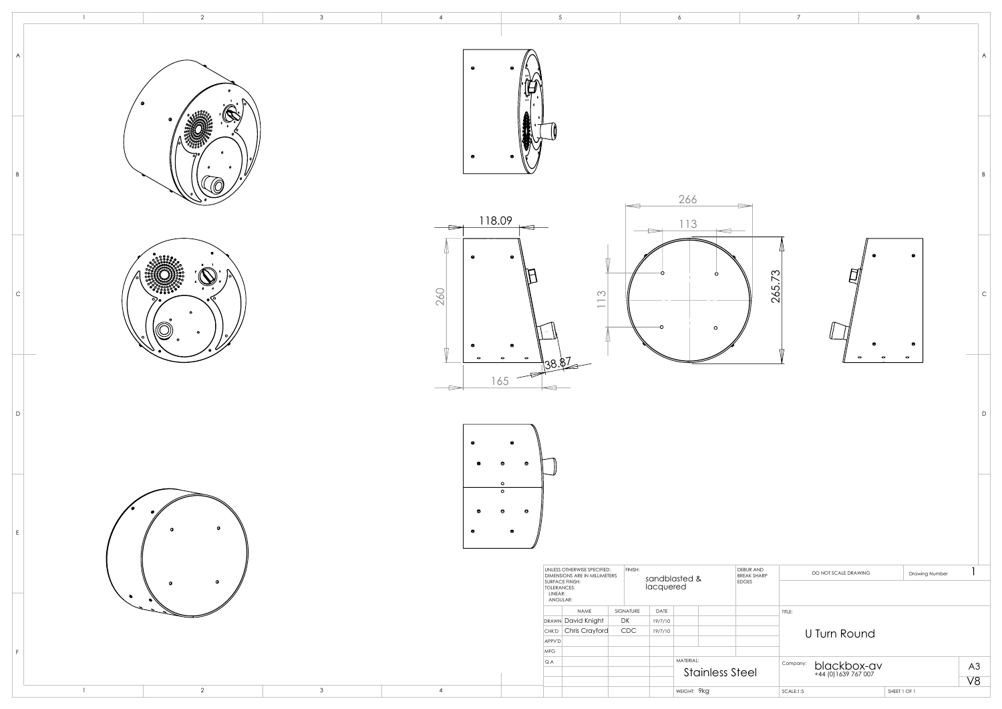|                    |                      | 8                                               |              |
|--------------------|----------------------|-------------------------------------------------|--------------|
|                    |                      |                                                 | $\forall$    |
|                    |                      |                                                 | $\sf B$      |
| 265.73             |                      | ۰<br>۰<br>o<br>e<br>0<br>$\bullet$<br>$\bullet$ | $\mathsf{C}$ |
|                    |                      |                                                 | D            |
|                    |                      |                                                 |              |
| ND.<br><b>HARP</b> | DO NOT SCALE DRAWING | Drawing Number                                  | 1            |
|                    | TITLE:               |                                                 |              |
|                    | <b>U Turn Round</b>  |                                                 |              |

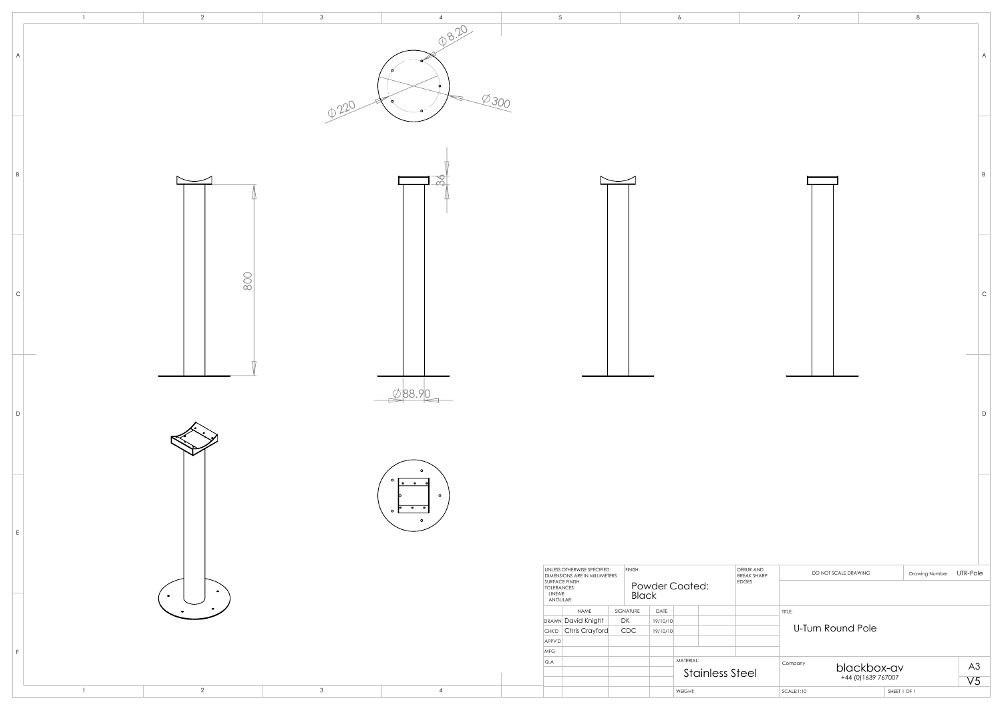

|             | $\overline{7}$ |                                           | 8              |                           |
|-------------|----------------|-------------------------------------------|----------------|---------------------------|
|             |                |                                           |                | $\boldsymbol{\mathsf{A}}$ |
|             |                |                                           |                | $\overline{B}$            |
|             |                |                                           |                | $\mathsf{C}$              |
|             |                |                                           |                | D                         |
| ΝD          |                |                                           |                |                           |
| <b>HARP</b> | TITLE:         | DO NOT SCALE DRAWING<br>U-Turn Round Pole | Drawing Number | UTR-Pole                  |
|             | Company        | blackbox-av<br>+44 (0) 1639 767007        |                | $\mathsf{A}3$<br>V5       |
|             | SCALE:1:10     |                                           | SHEET 1 OF 1   |                           |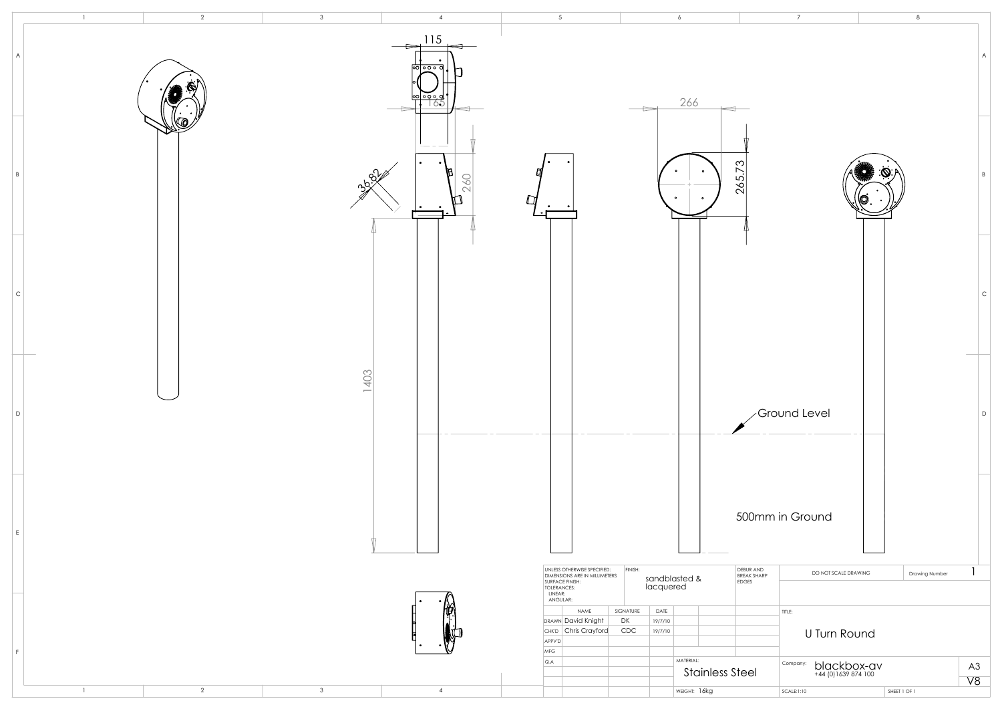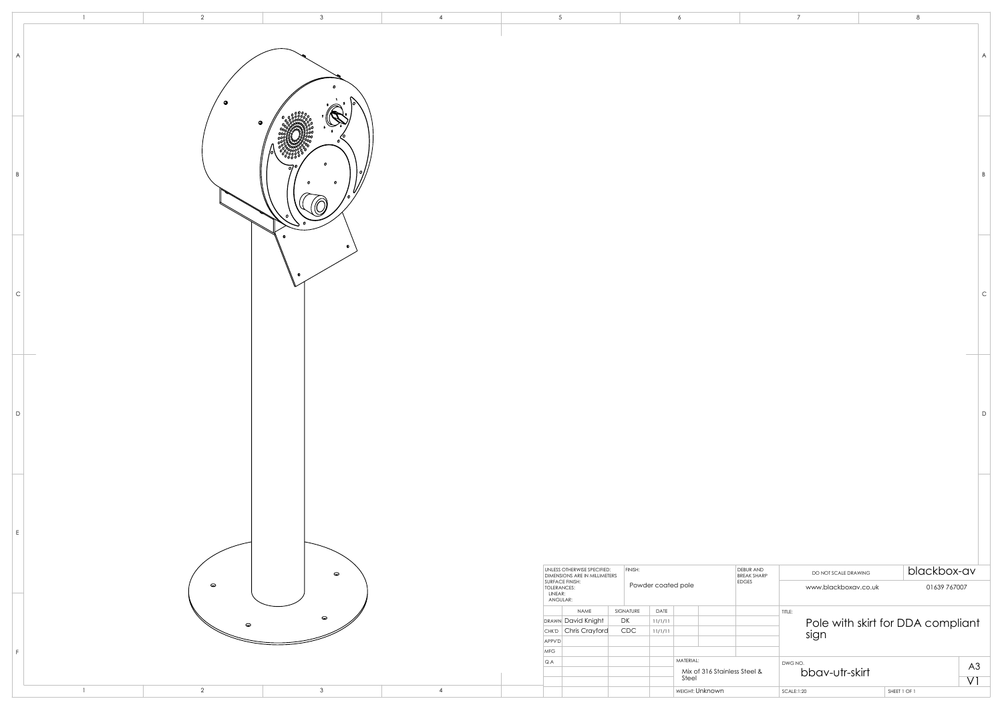|                | $\overline{2}$ | 3            | $\overline{4}$ | 5                                                                                                 | 6                                  |                                   | $\overline{7}$                  |                |
|----------------|----------------|--------------|----------------|---------------------------------------------------------------------------------------------------|------------------------------------|-----------------------------------|---------------------------------|----------------|
|                |                |              |                |                                                                                                   |                                    |                                   |                                 |                |
| A              |                |              |                |                                                                                                   |                                    |                                   |                                 |                |
|                |                |              |                |                                                                                                   |                                    |                                   |                                 |                |
|                |                |              |                |                                                                                                   |                                    |                                   |                                 |                |
|                |                |              |                |                                                                                                   |                                    |                                   |                                 |                |
|                |                |              |                |                                                                                                   |                                    |                                   |                                 |                |
|                |                |              |                |                                                                                                   |                                    |                                   |                                 |                |
| B              |                | $\mathbf o$  |                |                                                                                                   |                                    |                                   |                                 |                |
|                |                |              |                |                                                                                                   |                                    |                                   |                                 |                |
|                |                |              |                |                                                                                                   |                                    |                                   |                                 |                |
|                |                |              |                |                                                                                                   |                                    |                                   |                                 |                |
|                |                |              |                |                                                                                                   |                                    |                                   |                                 |                |
| $\mathsf C$    |                |              |                |                                                                                                   |                                    |                                   |                                 |                |
|                |                |              |                |                                                                                                   |                                    |                                   |                                 |                |
|                |                |              |                |                                                                                                   |                                    |                                   |                                 |                |
|                |                |              |                |                                                                                                   |                                    |                                   |                                 |                |
|                |                |              |                |                                                                                                   |                                    |                                   |                                 |                |
|                |                |              |                |                                                                                                   |                                    |                                   |                                 |                |
| D              |                |              |                |                                                                                                   |                                    |                                   |                                 |                |
|                |                |              |                |                                                                                                   |                                    |                                   |                                 |                |
|                |                |              |                |                                                                                                   |                                    |                                   |                                 |                |
|                |                |              |                |                                                                                                   |                                    |                                   |                                 |                |
|                |                |              |                |                                                                                                   |                                    |                                   |                                 |                |
| E              |                |              |                |                                                                                                   |                                    |                                   |                                 |                |
|                |                |              |                |                                                                                                   |                                    |                                   |                                 |                |
|                |                | $\bullet$    |                | UNLESS OTHERWISE SPECIFIED:                                                                       | FINISH:                            | DEBUR AND<br>BREAK SHARP<br>EDGES | DO NOT SCALE DRAWING            | $\overline{D}$ |
|                | $\bullet$      |              |                | DIMENSIONS ARE IN MILLIMETERS<br>SURFACE FINISH:<br>TOLERANCES:<br>LINEAR:<br>LINEAR:<br>ANGULAR: | Powder coated pole                 |                                   | www.blackboxav.co.uk            |                |
|                |                | $\bullet$    |                | NAME                                                                                              | SIGNATURE<br>DATE                  |                                   | $\vert$ title:                  |                |
|                | $\bullet$      |              |                | DRAWN David Knight<br>CHK'D Chris Crayford                                                        | DK<br> 11/1/11 <br>CDC<br> 11/1/11 |                                   | Pole with skirt for DDA<br>sign |                |
| F              |                |              |                | APPV'D<br>MFG                                                                                     | MATERIAL:                          |                                   |                                 |                |
|                |                |              |                | Q.A                                                                                               | Steel                              | Mix of 316 Stainless Steel &      | DWG NO.<br>bbav-utr-skirt       |                |
| $\overline{1}$ | $\overline{2}$ | $\mathbf{3}$ | $\overline{4}$ |                                                                                                   | WEIGHT: Unknown                    |                                   | SCALE:1:20                      | SHEET 1 OF 1   |

|                   | $\overline{7}$            |              | 8                                         |                         |
|-------------------|---------------------------|--------------|-------------------------------------------|-------------------------|
|                   |                           |              |                                           | $\overline{\mathsf{A}}$ |
|                   |                           |              |                                           | $\sf B$                 |
|                   |                           |              |                                           | $\mathsf{C}$            |
|                   |                           |              |                                           | D                       |
|                   |                           |              |                                           |                         |
| ND<br><b>IARP</b> | DO NOT SCALE DRAWING      |              | blackbox-av                               |                         |
|                   | www.blackboxav.co.uk      |              | 01639 767007                              |                         |
|                   | TITLE:                    |              | Pole with skirt for DDA compliant<br>sign |                         |
| &                 | DWG NO.<br>bbav-utr-skirt |              |                                           | A3                      |
|                   | SCALE:1:20                | SHEET 1 OF 1 |                                           | $\overline{V}$          |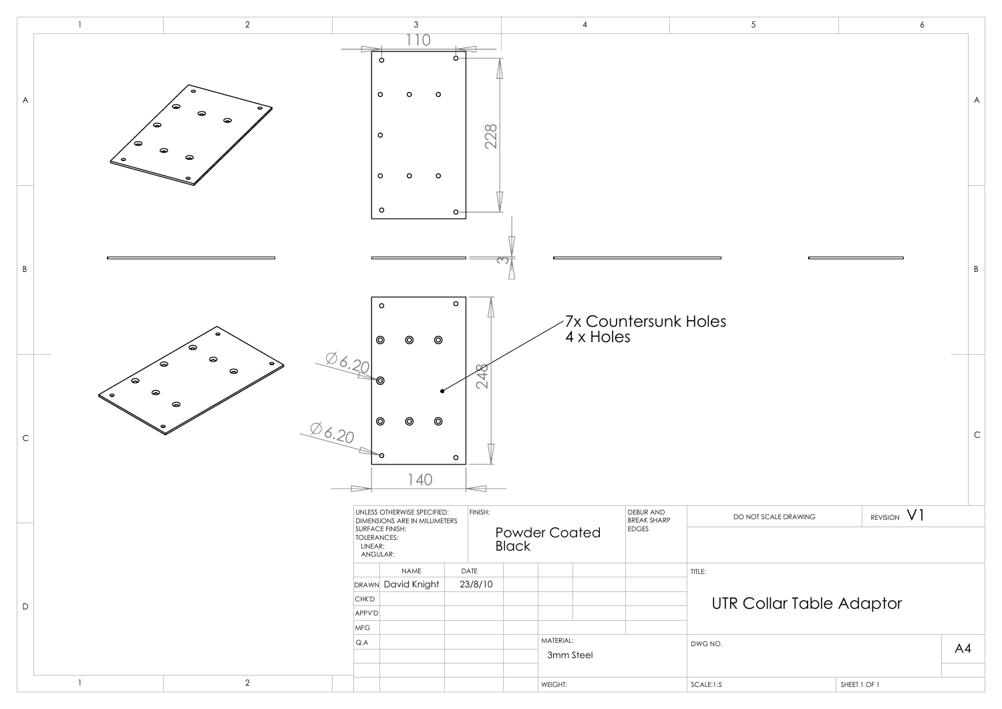